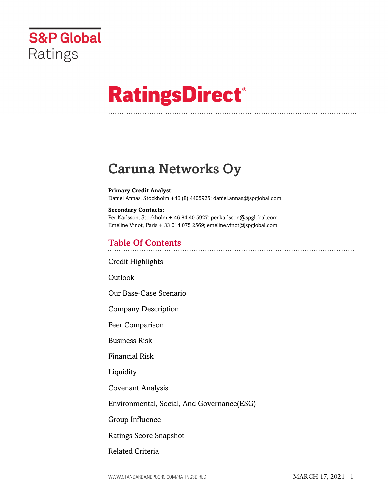

# **RatingsDirect®**

## Caruna Networks Oy

#### **Primary Credit Analyst:**

Daniel Annas, Stockholm +46 (8) 4405925; daniel.annas@spglobal.com

## **Secondary Contacts:**

Per Karlsson, Stockholm + 46 84 40 5927; per.karlsson@spglobal.com Emeline Vinot, Paris + 33 014 075 2569; emeline.vinot@spglobal.com

## Table Of Contents

[Credit Highlights](#page-1-0)

[Outlook](#page--1-0)

[Our Base-Case Scenario](#page-3-0)

[Company Description](#page-4-0)

[Peer Comparison](#page-5-0)

[Business Risk](#page-6-0)

[Financial Risk](#page-7-0)

[Liquidity](#page-9-0)

[Covenant Analysis](#page-10-0)

[Environmental, Social, And Governance\(ESG\)](#page-10-1)

[Group Influence](#page-11-0)

[Ratings Score Snapshot](#page-11-1)

[Related Criteria](#page-11-2)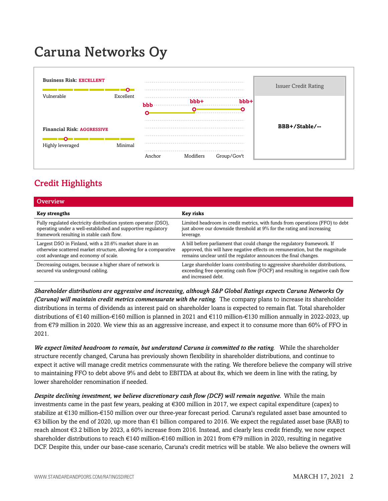## Caruna Networks Oy



## <span id="page-1-0"></span>Credit Highlights

| Overview                                                                                                                                                                    |                                                                                                                                                                                                                             |
|-----------------------------------------------------------------------------------------------------------------------------------------------------------------------------|-----------------------------------------------------------------------------------------------------------------------------------------------------------------------------------------------------------------------------|
| <b>Key strengths</b>                                                                                                                                                        | Key risks                                                                                                                                                                                                                   |
| Fully regulated electricity distribution system operator (DSO),<br>operating under a well-established and supportive regulatory<br>framework resulting in stable cash flow. | Limited headroom in credit metrics, with funds from operations (FFO) to debt<br>just above our downside threshold at 9% for the rating and increasing<br>leverage.                                                          |
| Largest DSO in Finland, with a 20.6% market share in an<br>otherwise scattered market structure, allowing for a comparative<br>cost advantage and economy of scale.         | A bill before parliament that could change the regulatory framework. If<br>approved, this will have negative effects on remuneration, but the magnitude<br>remains unclear until the regulator announces the final changes. |
| Decreasing outages, because a higher share of network is<br>secured via underground cabling.                                                                                | Large shareholder loans contributing to aggressive shareholder distributions,<br>exceeding free operating cash flow (FOCF) and resulting in negative cash flow<br>and increased debt.                                       |

*Shareholder distributions are aggressive and increasing, although S&P Global Ratings expects Caruna Networks Oy (Caruna) will maintain credit metrics commensurate with the rating.* The company plans to increase its shareholder distributions in terms of dividends as interest paid on shareholder loans is expected to remain flat. Total shareholder distributions of €140 million-€160 million is planned in 2021 and €110 million-€130 million annually in 2022-2023, up from €79 million in 2020. We view this as an aggressive increase, and expect it to consume more than 60% of FFO in 2021.

*We expect limited headroom to remain, but understand Caruna is committed to the rating.* While the shareholder structure recently changed, Caruna has previously shown flexibility in shareholder distributions, and continue to expect it active will manage credit metrics commensurate with the rating. We therefore believe the company will strive to maintaining FFO to debt above 9% and debt to EBITDA at about 8x, which we deem in line with the rating, by lower shareholder renomination if needed.

*Despite declining investment, we believe discretionary cash flow (DCF) will remain negative.* While the main investments came in the past few years, peaking at €300 million in 2017, we expect capital expenditure (capex) to stabilize at €130 million-€150 million over our three-year forecast period. Caruna's regulated asset base amounted to €3 billion by the end of 2020, up more than €1 billion compared to 2016. We expect the regulated asset base (RAB) to reach almost €3.2 billion by 2023, a 60% increase from 2016. Instead, and clearly less credit friendly, we now expect shareholder distributions to reach €140 million-€160 million in 2021 from €79 million in 2020, resulting in negative DCF. Despite this, under our base-case scenario, Caruna's credit metrics will be stable. We also believe the owners will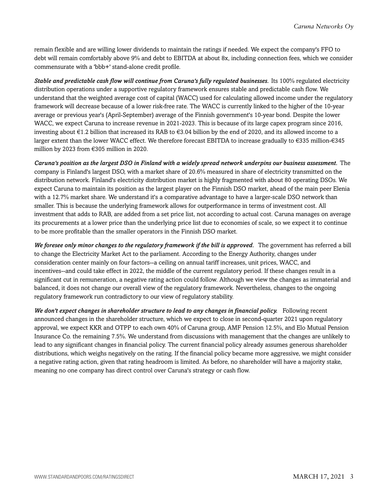remain flexible and are willing lower dividends to maintain the ratings if needed. We expect the company's FFO to debt will remain comfortably above 9% and debt to EBITDA at about 8x, including connection fees, which we consider commensurate with a 'bbb+' stand-alone credit profile.

*Stable and predictable cash flow will continue from Caruna's fully regulated businesses.* Its 100% regulated electricity distribution operations under a supportive regulatory framework ensures stable and predictable cash flow. We understand that the weighted average cost of capital (WACC) used for calculating allowed income under the regulatory framework will decrease because of a lower risk-free rate. The WACC is currently linked to the higher of the 10-year average or previous year's (April-September) average of the Finnish government's 10-year bond. Despite the lower WACC, we expect Caruna to increase revenue in 2021-2023. This is because of its large capex program since 2016, investing about €1.2 billion that increased its RAB to €3.04 billion by the end of 2020, and its allowed income to a larger extent than the lower WACC effect. We therefore forecast EBITDA to increase gradually to €335 million-€345 million by 2023 from €305 million in 2020.

*Caruna's position as the largest DSO in Finland with a widely spread network underpins our business assessment.* The company is Finland's largest DSO, with a market share of 20.6% measured in share of electricity transmitted on the distribution network. Finland's electricity distribution market is highly fragmented with about 80 operating DSOs. We expect Caruna to maintain its position as the largest player on the Finnish DSO market, ahead of the main peer Elenia with a 12.7% market share. We understand it's a comparative advantage to have a larger-scale DSO network than smaller. This is because the underlying framework allows for outperformance in terms of investment cost. All investment that adds to RAB, are added from a set price list, not according to actual cost. Caruna manages on average its procurements at a lower price than the underlying price list due to economies of scale, so we expect it to continue to be more profitable than the smaller operators in the Finnish DSO market.

*We foresee only minor changes to the regulatory framework if the bill is approved.* The government has referred a bill to change the Electricity Market Act to the parliament. According to the Energy Authority, changes under consideration center mainly on four factors--a ceiling on annual tariff increases, unit prices, WACC, and incentives--and could take effect in 2022, the middle of the current regulatory period. If these changes result in a significant cut in remuneration, a negative rating action could follow. Although we view the changes as immaterial and balanced, it does not change our overall view of the regulatory framework. Nevertheless, changes to the ongoing regulatory framework run contradictory to our view of regulatory stability.

*We don't expect changes in shareholder structure to lead to any changes in financial policy.* Following recent announced changes in the shareholder structure, which we expect to close in second-quarter 2021 upon regulatory approval, we expect KKR and OTPP to each own 40% of Caruna group, AMF Pension 12.5%, and Elo Mutual Pension Insurance Co. the remaining 7.5%. We understand from discussions with management that the changes are unlikely to lead to any significant changes in financial policy. The current financial policy already assumes generous shareholder distributions, which weighs negatively on the rating. If the financial policy became more aggressive, we might consider a negative rating action, given that rating headroom is limited. As before, no shareholder will have a majority stake, meaning no one company has direct control over Caruna's strategy or cash flow.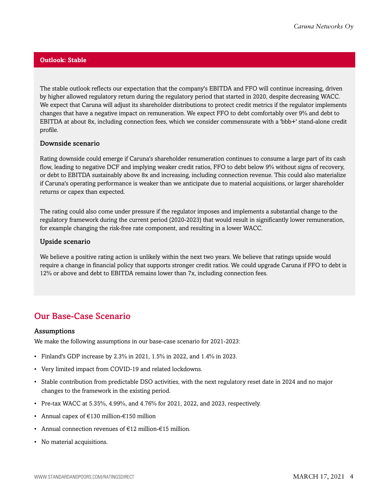#### **Outlook: Stable**

The stable outlook reflects our expectation that the company's EBITDA and FFO will continue increasing, driven by higher allowed regulatory return during the regulatory period that started in 2020, despite decreasing WACC. We expect that Caruna will adjust its shareholder distributions to protect credit metrics if the regulator implements changes that have a negative impact on remuneration. We expect FFO to debt comfortably over 9% and debt to EBITDA at about 8x, including connection fees, which we consider commensurate with a 'bbb+' stand-alone credit profile.

#### Downside scenario

Rating downside could emerge if Caruna's shareholder renumeration continues to consume a large part of its cash flow, leading to negative DCF and implying weaker credit ratios, FFO to debt below 9% without signs of recovery, or debt to EBITDA sustainably above 8x and increasing, including connection revenue. This could also materialize if Caruna's operating performance is weaker than we anticipate due to material acquisitions, or larger shareholder returns or capex than expected.

The rating could also come under pressure if the regulator imposes and implements a substantial change to the regulatory framework during the current period (2020-2023) that would result in significantly lower remuneration, for example changing the risk-free rate component, and resulting in a lower WACC.

#### Upside scenario

We believe a positive rating action is unlikely within the next two years. We believe that ratings upside would require a change in financial policy that supports stronger credit ratios. We could upgrade Caruna if FFO to debt is 12% or above and debt to EBITDA remains lower than 7x, including connection fees.

### <span id="page-3-0"></span>Our Base-Case Scenario

#### Assumptions

We make the following assumptions in our base-case scenario for 2021-2023:

- Finland's GDP increase by 2.3% in 2021, 1.5% in 2022, and 1.4% in 2023.
- Very limited impact from COVID-19 and related lockdowns.
- Stable contribution from predictable DSO activities, with the next regulatory reset date in 2024 and no major changes to the framework in the existing period.
- Pre-tax WACC at 5.35%, 4.99%, and 4.76% for 2021, 2022, and 2023, respectively.
- Annual capex of  $€130$  million- $€150$  million
- Annual connection revenues of €12 million-€15 million.
- No material acquisitions.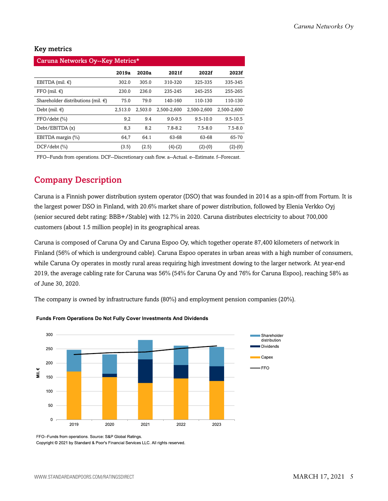#### Key metrics

| Caruna Networks Oy--Key Metrics*        |         |         |             |              |              |  |  |  |  |
|-----------------------------------------|---------|---------|-------------|--------------|--------------|--|--|--|--|
|                                         | 2019a   | 2020a   | 2021f       | 2022f        | 2023f        |  |  |  |  |
| EBITDA (mil. $\epsilon$ )               | 302.0   | 305.0   | 310-320     | 325-335      | 335-345      |  |  |  |  |
| FFO (mil. $\in$ )                       | 230.0   | 236.0   | 235-245     | 245-255      | 255-265      |  |  |  |  |
| Shareholder distributions (mil. $\in$ ) | 75.0    | 79.0    | 140-160     | 110-130      | 110-130      |  |  |  |  |
| Debt (mil. $\in$ )                      | 2,513.0 | 2.503.0 | 2.500-2.600 | 2.500-2.600  | 2.500-2.600  |  |  |  |  |
| FFO/debt (%)                            | 9,2     | 9.4     | $9.0 - 9.5$ | $9.5 - 10.0$ | $9.5 - 10.5$ |  |  |  |  |
| Debt/EBITDA (x)                         | 8,3     | 8.2     | $7.8 - 8.2$ | $7.5 - 8.0$  | $7.5 - 8.0$  |  |  |  |  |
| EBITDA margin (%)                       | 64,7    | 64.1    | 63-68       | 63-68        | 65-70        |  |  |  |  |
| $DCF/debt$ (%)                          | (3.5)   | (2.5)   | $(4)-(2)$   | $(2)-(0)$    | $(2)-(0)$    |  |  |  |  |

<span id="page-4-0"></span>FFO--Funds from operations. DCF--Discretionary cash flow. a--Actual. e--Estimate. f--Forecast.

## Company Description

Caruna is a Finnish power distribution system operator (DSO) that was founded in 2014 as a spin-off from Fortum. It is the largest power DSO in Finland, with 20.6% market share of power distribution, followed by Elenia Verkko Oyj (senior secured debt rating: BBB+/Stable) with 12.7% in 2020. Caruna distributes electricity to about 700,000 customers (about 1.5 million people) in its geographical areas.

Caruna is composed of Caruna Oy and Caruna Espoo Oy, which together operate 87,400 kilometers of network in Finland (56% of which is underground cable). Caruna Espoo operates in urban areas with a high number of consumers, while Caruna Oy operates in mostly rural areas requiring high investment dowing to the larger network. At year-end 2019, the average cabling rate for Caruna was 56% (54% for Caruna Oy and 76% for Caruna Espoo), reaching 58% as of June 30, 2020.

The company is owned by infrastructure funds (80%) and employment pension companies (20%).



#### Funds From Operations Do Not Fully Cover Investments And Dividends

FFO--Funds from operations. Source: S&P Global Ratings.

Copyright @ 2021 by Standard & Poor's Financial Services LLC. All rights reserved.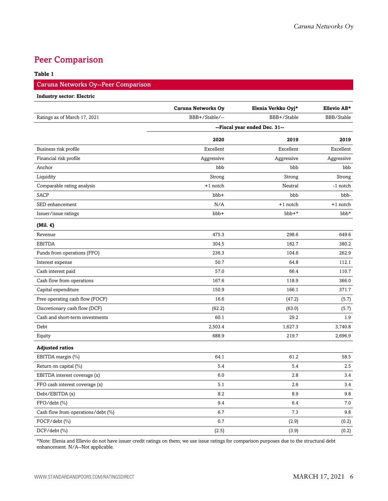## <span id="page-5-0"></span>Peer Comparison

#### **Table 1**

#### Caruna Networks Oy--Peer Comparison

#### **Industry sector: Electric**

|                                    | <b>Caruna Networks Oy</b> | Elenia Verkko Oyj*            | Ellevio AB* |
|------------------------------------|---------------------------|-------------------------------|-------------|
| Ratings as of March 17, 2021       | BBB+/Stable/--            | BBB+/Stable                   | BBB/Stable  |
|                                    |                           | --Fiscal year ended Dec. 31-- |             |
|                                    | 2020                      | 2019                          | 2019        |
| Business risk profile              | Excellent                 | Excellent                     | Excellent   |
| Financial risk profile             | Aggressive                | Aggressive                    | Aggressive  |
| Anchor                             | bbb                       | bbb                           | bbb         |
| Liquidity                          | Strong                    | Strong                        | Strong      |
| Comparable rating analysis         | $+1$ notch                | Neutral                       | -1 notch    |
| <b>SACP</b>                        | bbb+                      | bbb                           | bbb-        |
| SED enhancement                    | N/A                       | +1 notch                      | +1 notch    |
| Issuer/issue ratings               | bbb+                      | bbb+*                         | bbb*        |
| (Mil. $\epsilon$ )                 |                           |                               |             |
| Revenue                            | 475.3                     | 298.6                         | 649.6       |
| <b>EBITDA</b>                      | 304.5                     | 182.7                         | 380.2       |
| Funds from operations (FFO)        | 236.3                     | 104.6                         | 262.9       |
| Interest expense                   | 50.7                      | 64.8                          | 112.1       |
| Cash interest paid                 | 57.0                      | 66.4                          | 110.7       |
| Cash flow from operations          | 167.6                     | 118.9                         | 366.0       |
| Capital expenditure                | 150.9                     | 166.1                         | 371.7       |
| Free operating cash flow (FOCF)    | 16.6                      | (47.2)                        | (5.7)       |
| Discretionary cash flow (DCF)      | (62.2)                    | (63.0)                        | (5.7)       |
| Cash and short-term investments    | 60.1                      | 29.2                          | 1.9         |
| Debt                               | 2,503.4                   | 1,627.3                       | 3,740.8     |
| Equity                             | 688.9                     | 219.7                         | 2,696.9     |
| <b>Adjusted ratios</b>             |                           |                               |             |
| EBITDA margin (%)                  | 64.1                      | 61.2                          | 58.5        |
| Return on capital (%)              | 5.4                       | 5.4                           | 2.5         |
| EBITDA interest coverage (x)       | 6.0                       | 2.8                           | 3.4         |
| FFO cash interest coverage (x)     | 5.1                       | 2.6                           | 3.4         |
| Debt/EBITDA (x)                    | 8.2                       | 8.9                           | 9.8         |
| $FFO/debt$ $(\% )$                 | 9.4                       | 6.4                           | 7.0         |
| Cash flow from operations/debt (%) | 6.7                       | 7.3                           | 9.8         |
| FOCF/debt (%)                      | 0.7                       | (2.9)                         | (0.2)       |
| $DCF/debt$ (%)                     | (2.5)                     | (3.9)                         | (0.2)       |

\*Note: Elenia and Ellevio do not have issuer credit ratings on them; we use issue ratings for comparison purposes due to the structural debt enhancement. N/A--Not applicable.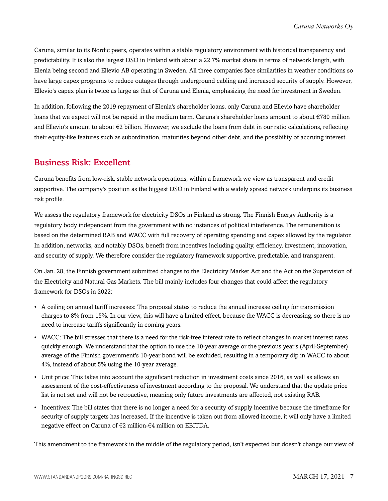Caruna, similar to its Nordic peers, operates within a stable regulatory environment with historical transparency and predictability. It is also the largest DSO in Finland with about a 22.7% market share in terms of network length, with Elenia being second and Ellevio AB operating in Sweden. All three companies face similarities in weather conditions so have large capex programs to reduce outages through underground cabling and increased security of supply. However, Ellevio's capex plan is twice as large as that of Caruna and Elenia, emphasizing the need for investment in Sweden.

In addition, following the 2019 repayment of Elenia's shareholder loans, only Caruna and Ellevio have shareholder loans that we expect will not be repaid in the medium term. Caruna's shareholder loans amount to about €780 million and Ellevio's amount to about €2 billion. However, we exclude the loans from debt in our ratio calculations, reflecting their equity-like features such as subordination, maturities beyond other debt, and the possibility of accruing interest.

## <span id="page-6-0"></span>Business Risk: Excellent

Caruna benefits from low-risk, stable network operations, within a framework we view as transparent and credit supportive. The company's position as the biggest DSO in Finland with a widely spread network underpins its business risk profile.

We assess the regulatory framework for electricity DSOs in Finland as strong. The Finnish Energy Authority is a regulatory body independent from the government with no instances of political interference. The remuneration is based on the determined RAB and WACC with full recovery of operating spending and capex allowed by the regulator. In addition, networks, and notably DSOs, benefit from incentives including quality, efficiency, investment, innovation, and security of supply. We therefore consider the regulatory framework supportive, predictable, and transparent.

On Jan. 28, the Finnish government submitted changes to the Electricity Market Act and the Act on the Supervision of the Electricity and Natural Gas Markets. The bill mainly includes four changes that could affect the regulatory framework for DSOs in 2022:

- A ceiling on annual tariff increases: The proposal states to reduce the annual increase ceiling for transmission charges to 8% from 15%. In our view, this will have a limited effect, because the WACC is decreasing, so there is no need to increase tariffs significantly in coming years.
- WACC: The bill stresses that there is a need for the risk-free interest rate to reflect changes in market interest rates quickly enough. We understand that the option to use the 10-year average or the previous year's (April-September) average of the Finnish government's 10-year bond will be excluded, resulting in a temporary dip in WACC to about 4%, instead of about 5% using the 10-year average.
- Unit price: This takes into account the significant reduction in investment costs since 2016, as well as allows an assessment of the cost-effectiveness of investment according to the proposal. We understand that the update price list is not set and will not be retroactive, meaning only future investments are affected, not existing RAB.
- Incentives: The bill states that there is no longer a need for a security of supply incentive because the timeframe for security of supply targets has increased. If the incentive is taken out from allowed income, it will only have a limited negative effect on Caruna of €2 million-€4 million on EBITDA.

This amendment to the framework in the middle of the regulatory period, isn't expected but doesn't change our view of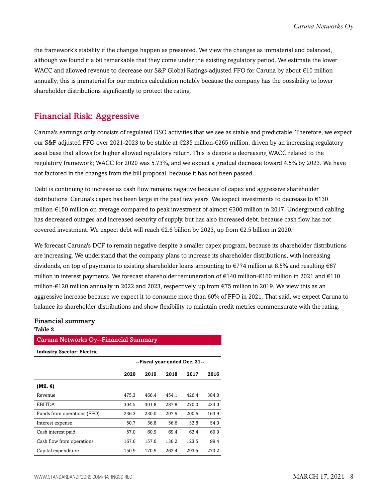the framework's stability if the changes happen as presented. We view the changes as immaterial and balanced, although we found it a bit remarkable that they come under the existing regulatory period. We estimate the lower WACC and allowed revenue to decrease our S&P Global Ratings-adjusted FFO for Caruna by about €10 million annually; this is immaterial for our metrics calculation notably because the company has the possibility to lower shareholder distributions significantly to protect the rating.

### <span id="page-7-0"></span>Financial Risk: Aggressive

Caruna's earnings only consists of regulated DSO activities that we see as stable and predictable. Therefore, we expect our S&P adjusted FFO over 2021-2023 to be stable at €235 million-€265 million, driven by an increasing regulatory asset base that allows for higher allowed regulatory return. This is despite a decreasing WACC related to the regulatory framework; WACC for 2020 was 5.73%, and we expect a gradual decrease toward 4.5% by 2023. We have not factored in the changes from the bill proposal, because it has not been passed.

Debt is continuing to increase as cash flow remains negative because of capex and aggressive shareholder distributions. Caruna's capex has been large in the past few years. We expect investments to decrease to €130 million-€150 million on average compared to peak investment of almost €300 million in 2017. Underground cabling has decreased outages and increased security of supply, but has also increased debt, because cash flow has not covered investment. We expect debt will reach €2.6 billion by 2023, up from €2.5 billion in 2020.

We forecast Caruna's DCF to remain negative despite a smaller capex program, because its shareholder distributions are increasing. We understand that the company plans to increase its shareholder distributions, with increasing dividends, on top of payments to existing shareholder loans amounting to  $\epsilon$ 774 million at 8.5% and resulting  $\epsilon$ 67 million in interest payments. We forecast shareholder remuneration of €140 million-€160 million in 2021 and €110 million-€120 million annually in 2022 and 2023, respectively, up from €75 million in 2019. We view this as an aggressive increase because we expect it to consume more than 60% of FFO in 2021. That said, we expect Caruna to balance its shareholder distributions and show flexibility to maintain credit metrics commensurate with the rating.

#### Financial summary **Table 2**

#### Caruna Networks Oy--Financial Summary

| <b>Industry Ssector: Electric</b> |                               |       |       |       |       |  |  |  |
|-----------------------------------|-------------------------------|-------|-------|-------|-------|--|--|--|
|                                   | --Fiscal year ended Dec. 31-- |       |       |       |       |  |  |  |
|                                   | 2020                          | 2019  | 2018  | 2017  | 2016  |  |  |  |
| (Mil. €)                          |                               |       |       |       |       |  |  |  |
| Revenue                           | 475.3                         | 466.4 | 454.1 | 426.4 | 384.0 |  |  |  |
| <b>EBITDA</b>                     | 304.5                         | 301.8 | 287.8 | 270.0 | 233.0 |  |  |  |
| Funds from operations (FFO)       | 236.3                         | 230.0 | 207.9 | 200.6 | 163.9 |  |  |  |
| Interest expense                  | 50.7                          | 56.8  | 56.6  | 52.8  | 54.0  |  |  |  |
| Cash interest paid                | 57.0                          | 60.9  | 69.4  | 62.4  | 69.0  |  |  |  |
| Cash flow from operations         | 167.6                         | 157.0 | 130.2 | 123.5 | 99.4  |  |  |  |
| Capital expenditure               | 150.9                         | 170.9 | 262.4 | 293.5 | 273.2 |  |  |  |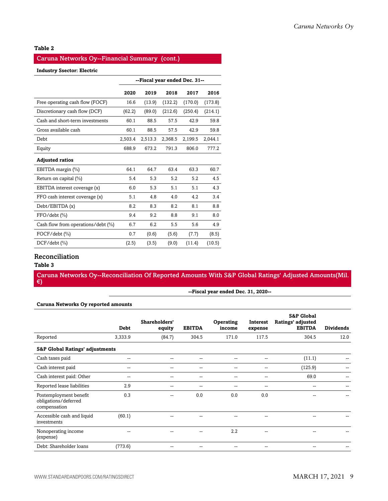#### **Table 2**

#### Caruna Networks Oy--Financial Summary (cont.)

#### **Industry Ssector: Electric**

|                                    | --Fiscal year ended Dec. 31-- |         |         |         |         |
|------------------------------------|-------------------------------|---------|---------|---------|---------|
|                                    | 2020                          | 2019    | 2018    | 2017    | 2016    |
| Free operating cash flow (FOCF)    | 16.6                          | (13.9)  | (132.2) | (170.0) | (173.8) |
| Discretionary cash flow (DCF)      | (62.2)                        | (89.0)  | (212.6) | (250.4) | (214.1) |
| Cash and short-term investments    | 60.1                          | 88.5    | 57.5    | 42.9    | 59.8    |
| Gross available cash               | 60.1                          | 88.5    | 57.5    | 42.9    | 59.8    |
| Debt                               | 2,503.4                       | 2,513.3 | 2,368.5 | 2,199.5 | 2,044.1 |
| Equity                             | 688.9                         | 673.2   | 791.3   | 806.0   | 777.2   |
| <b>Adjusted ratios</b>             |                               |         |         |         |         |
| EBITDA margin (%)                  | 64.1                          | 64.7    | 63.4    | 63.3    | 60.7    |
| Return on capital (%)              | 5.4                           | 5.3     | 5.2     | 5.2     | 4.5     |
| EBITDA interest coverage (x)       | 6.0                           | 5.3     | 5.1     | 5.1     | 4.3     |
| FFO cash interest coverage (x)     | 5.1                           | 4.8     | 4.0     | 4.2     | 3.4     |
| Debt/EBITDA (x)                    | 8.2                           | 8.3     | 8.2     | 8.1     | 8.8     |
| $FFO/debt$ $(\%)$                  | 9.4                           | 9.2     | 8.8     | 9.1     | 8.0     |
| Cash flow from operations/debt (%) | 6.7                           | 6.2     | 5.5     | 5.6     | 4.9     |
| $FOCF/debt$ $(\% )$                | 0.7                           | (0.6)   | (5.6)   | (7.7)   | (8.5)   |
| $DCF/debt$ (%)                     | (2.5)                         | (3.5)   | (9.0)   | (11.4)  | (10.5)  |

#### Reconciliation

#### **Table 3**

Caruna Networks Oy--Reconciliation Of Reported Amounts With S&P Global Ratings' Adjusted Amounts(Mil. €)

| --Fiscal year ended Dec. 31, 2020-- |  |  |
|-------------------------------------|--|--|
|-------------------------------------|--|--|

|  | Caruna Networks Oy reported amounts |  |  |  |
|--|-------------------------------------|--|--|--|
|--|-------------------------------------|--|--|--|

|                                                                | <b>Debt</b> | Shareholders'<br>equity | <b>EBITDA</b> | Operating<br>income | Interest<br>expense | <b>S&amp;P Global</b><br>Ratings' adjusted<br><b>EBITDA</b> | <b>Dividends</b> |
|----------------------------------------------------------------|-------------|-------------------------|---------------|---------------------|---------------------|-------------------------------------------------------------|------------------|
| Reported                                                       | 3,333.9     | (84.7)                  | 304.5         | 171.0               | 117.5               | 304.5                                                       | 12.0             |
| <b>S&amp;P Global Ratings' adjustments</b>                     |             |                         |               |                     |                     |                                                             |                  |
| Cash taxes paid                                                | $- -$       | --                      | --            | --                  | --                  | (11.1)                                                      |                  |
| Cash interest paid                                             | --          | --                      | --            | --                  | --                  | (125.9)                                                     |                  |
| Cash interest paid: Other                                      | --          | --                      | --            | --                  | --                  | 69.0                                                        | --               |
| Reported lease liabilities                                     | 2.9         | --                      |               | --                  | --                  |                                                             |                  |
| Postemployment benefit<br>obligations/deferred<br>compensation | 0.3         | --                      | 0.0           | 0.0                 | 0.0                 |                                                             |                  |
| Accessible cash and liquid<br>investments                      | (60.1)      |                         |               |                     | --                  |                                                             |                  |
| Nonoperating income<br>(expense)                               |             |                         |               | 2.2                 | --                  |                                                             |                  |
| Debt: Shareholder loans                                        | (773.6)     |                         |               |                     | --                  |                                                             |                  |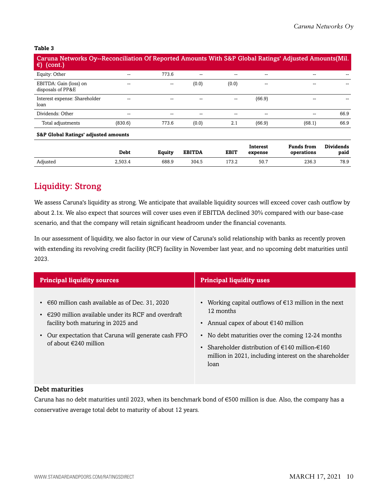#### **Table 3**

| Caruna Networks Oy--Reconciliation Of Reported Amounts With S&P Global Ratings' Adjusted Amounts (Mil.<br>€)<br>(cont.) |         |       |       |       |        |        |      |
|-------------------------------------------------------------------------------------------------------------------------|---------|-------|-------|-------|--------|--------|------|
| Equity: Other                                                                                                           | --      | 773.6 | $- -$ | --    | --     |        |      |
| EBITDA: Gain (loss) on<br>disposals of PP&E                                                                             | --      | $- -$ | (0.0) | (0.0) | --     |        |      |
| Interest expense: Shareholder<br>loan                                                                                   |         | --    | $- -$ | --    | (66.9) |        |      |
| Dividends: Other                                                                                                        | --      | --    | --    | --    | --     | --     | 66.9 |
| Total adjustments                                                                                                       | (830.6) | 773.6 | (0.0) | 2.1   | (66.9) | (68.1) | 66.9 |

#### **S&P Global Ratings' adjusted amounts**

|          | <b>Debt</b> | Equity | <b>EBITDA</b> | <b>EBIT</b> | Interest<br>expense | <b>Funds from</b><br>operations | <b>Dividends</b><br>paid |
|----------|-------------|--------|---------------|-------------|---------------------|---------------------------------|--------------------------|
| Adjusted | 2.503.4     | 688.9  | 304.5         | 173.2       | 50.7                | 236.3                           | 78.9                     |

## <span id="page-9-0"></span>Liquidity: Strong

We assess Caruna's liquidity as strong. We anticipate that available liquidity sources will exceed cover cash outflow by about 2.1x. We also expect that sources will cover uses even if EBITDA declined 30% compared with our base-case scenario, and that the company will retain significant headroom under the financial covenants.

In our assessment of liquidity, we also factor in our view of Caruna's solid relationship with banks as recently proven with extending its revolving credit facility (RCF) facility in November last year, and no upcoming debt maturities until 2023.

| <b>Principal liquidity sources</b>                                                                                                                                                                                          | <b>Principal liquidity uses</b>                                                                                                                                                     |  |  |
|-----------------------------------------------------------------------------------------------------------------------------------------------------------------------------------------------------------------------------|-------------------------------------------------------------------------------------------------------------------------------------------------------------------------------------|--|--|
| • $\epsilon$ 60 million cash available as of Dec. 31, 2020<br>$\cdot$ $\in$ 290 million available under its RCF and overdraft<br>facility both maturing in 2025 and<br>• Our expectation that Caruna will generate cash FFO | • Working capital outflows of $\epsilon$ 13 million in the next<br>12 months<br>• Annual capex of about $\epsilon$ 140 million<br>• No debt maturities over the coming 12-24 months |  |  |
| of about $\epsilon$ 240 million                                                                                                                                                                                             | Shareholder distribution of €140 million-€160<br>million in 2021, including interest on the shareholder<br>loan                                                                     |  |  |

#### Debt maturities

Caruna has no debt maturities until 2023, when its benchmark bond of €500 million is due. Also, the company has a conservative average total debt to maturity of about 12 years.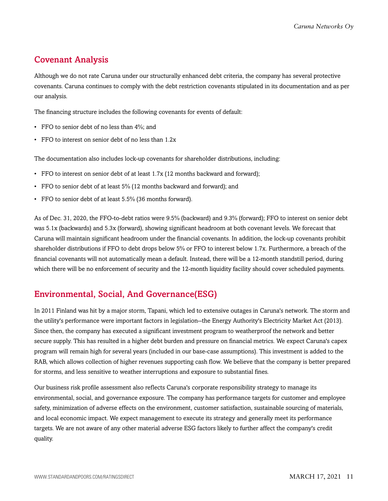## <span id="page-10-0"></span>Covenant Analysis

Although we do not rate Caruna under our structurally enhanced debt criteria, the company has several protective covenants. Caruna continues to comply with the debt restriction covenants stipulated in its documentation and as per our analysis.

The financing structure includes the following covenants for events of default:

- FFO to senior debt of no less than  $4\%$ : and
- FFO to interest on senior debt of no less than 1.2x

The documentation also includes lock-up covenants for shareholder distributions, including:

- FFO to interest on senior debt of at least 1.7x (12 months backward and forward);
- FFO to senior debt of at least 5% (12 months backward and forward); and
- FFO to senior debt of at least 5.5% (36 months forward).

As of Dec. 31, 2020, the FFO-to-debt ratios were 9.5% (backward) and 9.3% (forward); FFO to interest on senior debt was 5.1x (backwards) and 5.3x (forward), showing significant headroom at both covenant levels. We forecast that Caruna will maintain significant headroom under the financial covenants. In addition, the lock-up covenants prohibit shareholder distributions if FFO to debt drops below 5% or FFO to interest below 1.7x. Furthermore, a breach of the financial covenants will not automatically mean a default. Instead, there will be a 12-month standstill period, during which there will be no enforcement of security and the 12-month liquidity facility should cover scheduled payments.

## <span id="page-10-1"></span>Environmental, Social, And Governance(ESG)

In 2011 Finland was hit by a major storm, Tapani, which led to extensive outages in Caruna's network. The storm and the utility's performance were important factors in legislation--the Energy Authority's Electricity Market Act (2013). Since then, the company has executed a significant investment program to weatherproof the network and better secure supply. This has resulted in a higher debt burden and pressure on financial metrics. We expect Caruna's capex program will remain high for several years (included in our base-case assumptions). This investment is added to the RAB, which allows collection of higher revenues supporting cash flow. We believe that the company is better prepared for storms, and less sensitive to weather interruptions and exposure to substantial fines.

Our business risk profile assessment also reflects Caruna's corporate responsibility strategy to manage its environmental, social, and governance exposure. The company has performance targets for customer and employee safety, minimization of adverse effects on the environment, customer satisfaction, sustainable sourcing of materials, and local economic impact. We expect management to execute its strategy and generally meet its performance targets. We are not aware of any other material adverse ESG factors likely to further affect the company's credit quality.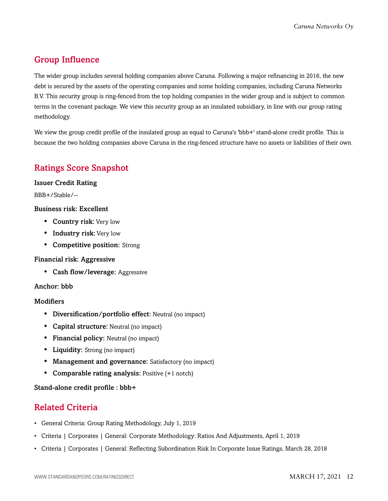## <span id="page-11-0"></span>Group Influence

The wider group includes several holding companies above Caruna. Following a major refinancing in 2016, the new debt is secured by the assets of the operating companies and some holding companies, including Caruna Networks B.V. This security group is ring-fenced from the top holding companies in the wider group and is subject to common terms in the covenant package. We view this security group as an insulated subsidiary, in line with our group rating methodology.

We view the group credit profile of the insulated group as equal to Caruna's 'bbb+' stand-alone credit profile. This is because the two holding companies above Caruna in the ring-fenced structure have no assets or liabilities of their own.

## <span id="page-11-1"></span>Ratings Score Snapshot

Issuer Credit Rating

BBB+/Stable/--

#### Business risk: Excellent

- Country risk: Very low
- Industry risk: Very low
- Competitive position: Strong

#### Financial risk: Aggressive

• Cash flow/leverage: Aggressive

#### Anchor: bbb

#### **Modifiers**

- Diversification/portfolio effect: Neutral (no impact)
- Capital structure: Neutral (no impact)
- Financial policy: Neutral (no impact)
- Liquidity: Strong (no impact)
- Management and governance: Satisfactory (no impact)
- Comparable rating analysis: Positive (+1 notch)

#### <span id="page-11-2"></span>Stand-alone credit profile : bbb+

## Related Criteria

- General Criteria: Group Rating Methodology, July 1, 2019
- Criteria | Corporates | General: Corporate Methodology: Ratios And Adjustments, April 1, 2019
- Criteria | Corporates | General: Reflecting Subordination Risk In Corporate Issue Ratings, March 28, 2018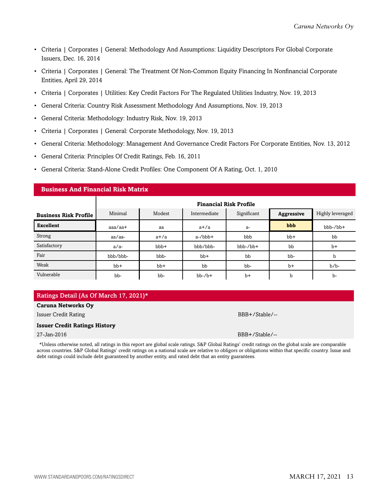- Criteria | Corporates | General: Methodology And Assumptions: Liquidity Descriptors For Global Corporate Issuers, Dec. 16, 2014
- Criteria | Corporates | General: The Treatment Of Non-Common Equity Financing In Nonfinancial Corporate Entities, April 29, 2014
- Criteria | Corporates | Utilities: Key Credit Factors For The Regulated Utilities Industry, Nov. 19, 2013
- General Criteria: Country Risk Assessment Methodology And Assumptions, Nov. 19, 2013
- General Criteria: Methodology: Industry Risk, Nov. 19, 2013
- Criteria | Corporates | General: Corporate Methodology, Nov. 19, 2013
- General Criteria: Methodology: Management And Governance Credit Factors For Corporate Entities, Nov. 13, 2012
- General Criteria: Principles Of Credit Ratings, Feb. 16, 2011

**Business And Financial Risk Matrix**

• General Criteria: Stand-Alone Credit Profiles: One Component Of A Rating, Oct. 1, 2010

| pusiness ring ringheigi msk matrix |                               |        |              |             |            |                  |  |  |  |  |
|------------------------------------|-------------------------------|--------|--------------|-------------|------------|------------------|--|--|--|--|
|                                    | <b>Financial Risk Profile</b> |        |              |             |            |                  |  |  |  |  |
| <b>Business Risk Profile</b>       | Minimal                       | Modest | Intermediate | Significant | Aggressive | Highly leveraged |  |  |  |  |
| <b>Excellent</b>                   | $a$ aa $/a$ a $+$             | aa     | $a+/a$       | a-          | bbb        | $bbb-/bb+$       |  |  |  |  |
| Strong                             | aa/aa-                        | $a+/a$ | $a$ -/ $bbb$ | bbb         | $bb+$      | bb               |  |  |  |  |
| Satisfactory                       | $a/a-$                        | bbb+   | bbb/bbb-     | $bbb-/bb+$  | bb         | $b+$             |  |  |  |  |
| Fair                               | bbb/bbb-                      | bbb-   | $bb+$        | bb          | bb-        | b                |  |  |  |  |
| Weak                               | $bb+$                         | $bb+$  | bb           | bb-         | $b+$       | $b/b$ -          |  |  |  |  |
| Vulnerable                         | bb-                           | bb-    | $bb-7b+$     | $b+$        | b          | $b-$             |  |  |  |  |

#### Ratings Detail (As Of March 17, 2021)\*

#### **Caruna Networks Oy**

Issuer Credit Rating BBB+/Stable/--

#### **Issuer Credit Ratings History**

27-Jan-2016 BBB+/Stable/--

\*Unless otherwise noted, all ratings in this report are global scale ratings. S&P Global Ratings' credit ratings on the global scale are comparable across countries. S&P Global Ratings' credit ratings on a national scale are relative to obligors or obligations within that specific country. Issue and debt ratings could include debt guaranteed by another entity, and rated debt that an entity guarantees.